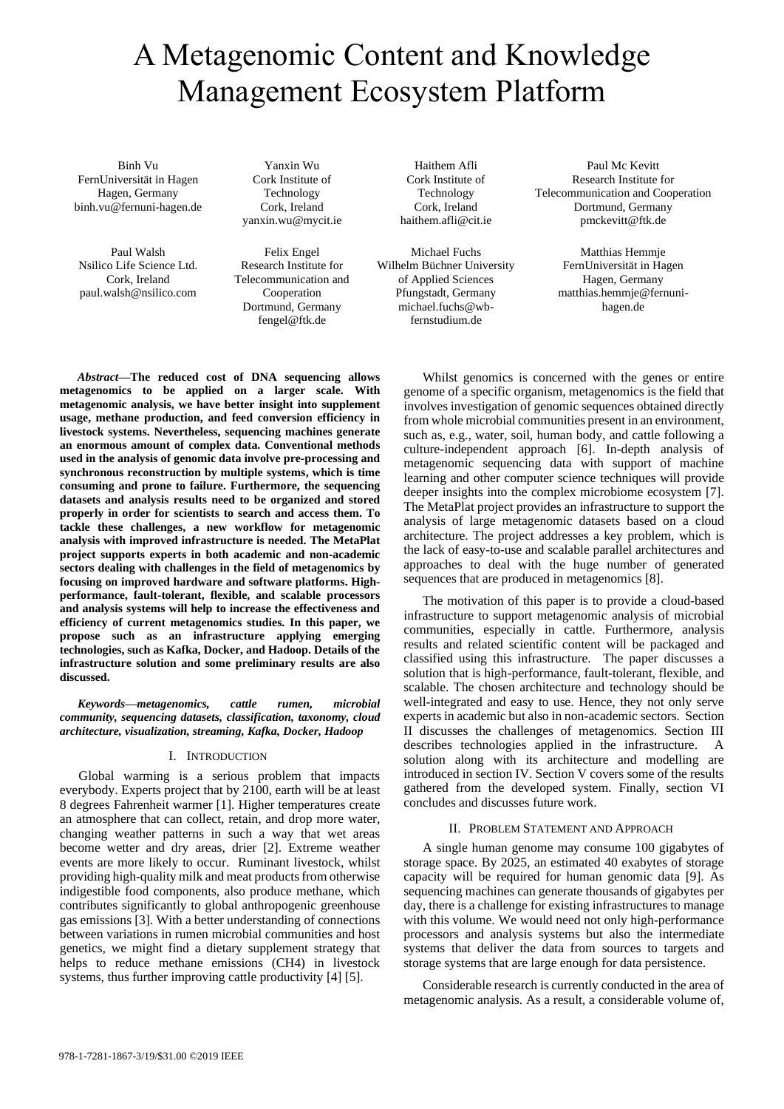# A Metagenomic Content and Knowledge Management Ecosystem Platform

Binh Vu FernUniversität in Hagen Hagen, Germany binh.vu@fernuni-hagen.de

Paul Walsh Nsilico Life Science Ltd. Cork, Ireland paul.walsh@nsilico.com

Yanxin Wu Cork Institute of Technology Cork, Ireland yanxin.wu@mycit.ie

Felix Engel Research Institute for Telecommunication and Cooperation Dortmund, Germany fengel@ftk.de

Haithem Afli Cork Institute of Technology Cork, Ireland haithem.afli@cit.ie

Michael Fuchs Wilhelm Büchner University of Applied Sciences Pfungstadt, Germany michael.fuchs@wbfernstudium.de

Paul Mc Kevitt Research Institute for Telecommunication and Cooperation Dortmund, Germany pmckevitt@ftk.de

> Matthias Hemmje FernUniversität in Hagen Hagen, Germany matthias.hemmje@fernunihagen.de

*Abstract***—The reduced cost of DNA sequencing allows metagenomics to be applied on a larger scale. With metagenomic analysis, we have better insight into supplement usage, methane production, and feed conversion efficiency in livestock systems. Nevertheless, sequencing machines generate an enormous amount of complex data. Conventional methods used in the analysis of genomic data involve pre-processing and synchronous reconstruction by multiple systems, which is time consuming and prone to failure. Furthermore, the sequencing datasets and analysis results need to be organized and stored properly in order for scientists to search and access them. To tackle these challenges, a new workflow for metagenomic analysis with improved infrastructure is needed. The MetaPlat project supports experts in both academic and non-academic sectors dealing with challenges in the field of metagenomics by focusing on improved hardware and software platforms. Highperformance, fault-tolerant, flexible, and scalable processors and analysis systems will help to increase the effectiveness and efficiency of current metagenomics studies. In this paper, we propose such as an infrastructure applying emerging technologies, such as Kafka, Docker, and Hadoop. Details of the infrastructure solution and some preliminary results are also discussed.**

*Keywords—metagenomics, cattle rumen, microbial community, sequencing datasets, classification, taxonomy, cloud architecture, visualization, streaming, Kafka, Docker, Hadoop*

# I. INTRODUCTION

Global warming is a serious problem that impacts everybody. Experts project that by 2100, earth will be at least 8 degrees Fahrenheit warmer [1]. Higher temperatures create an atmosphere that can collect, retain, and drop more water, changing weather patterns in such a way that wet areas become wetter and dry areas, drier [2]. Extreme weather events are more likely to occur. Ruminant livestock, whilst providing high-quality milk and meat products from otherwise indigestible food components, also produce methane, which contributes significantly to global anthropogenic greenhouse gas emissions [3]. With a better understanding of connections between variations in rumen microbial communities and host genetics, we might find a dietary supplement strategy that helps to reduce methane emissions (CH4) in livestock systems, thus further improving cattle productivity [4] [5].

Whilst genomics is concerned with the genes or entire genome of a specific organism, metagenomics is the field that involves investigation of genomic sequences obtained directly from whole microbial communities present in an environment, such as, e.g., water, soil, human body, and cattle following a culture-independent approach [6]. In-depth analysis of metagenomic sequencing data with support of machine learning and other computer science techniques will provide deeper insights into the complex microbiome ecosystem [7]. The MetaPlat project provides an infrastructure to support the analysis of large metagenomic datasets based on a cloud architecture. The project addresses a key problem, which is the lack of easy-to-use and scalable parallel architectures and approaches to deal with the huge number of generated sequences that are produced in metagenomics [8].

The motivation of this paper is to provide a cloud-based infrastructure to support metagenomic analysis of microbial communities, especially in cattle. Furthermore, analysis results and related scientific content will be packaged and classified using this infrastructure. The paper discusses a solution that is high-performance, fault-tolerant, flexible, and scalable. The chosen architecture and technology should be well-integrated and easy to use. Hence, they not only serve experts in academic but also in non-academic sectors. Section II discusses the challenges of metagenomics. Section III describes technologies applied in the infrastructure. A solution along with its architecture and modelling are introduced in section IV. Section V covers some of the results gathered from the developed system. Finally, section VI concludes and discusses future work.

# II. PROBLEM STATEMENT AND APPROACH

A single human genome may consume 100 gigabytes of storage space. By 2025, an estimated 40 exabytes of storage capacity will be required for human genomic data [9]. As sequencing machines can generate thousands of gigabytes per day, there is a challenge for existing infrastructures to manage with this volume. We would need not only high-performance processors and analysis systems but also the intermediate systems that deliver the data from sources to targets and storage systems that are large enough for data persistence.

Considerable research is currently conducted in the area of metagenomic analysis. As a result, a considerable volume of,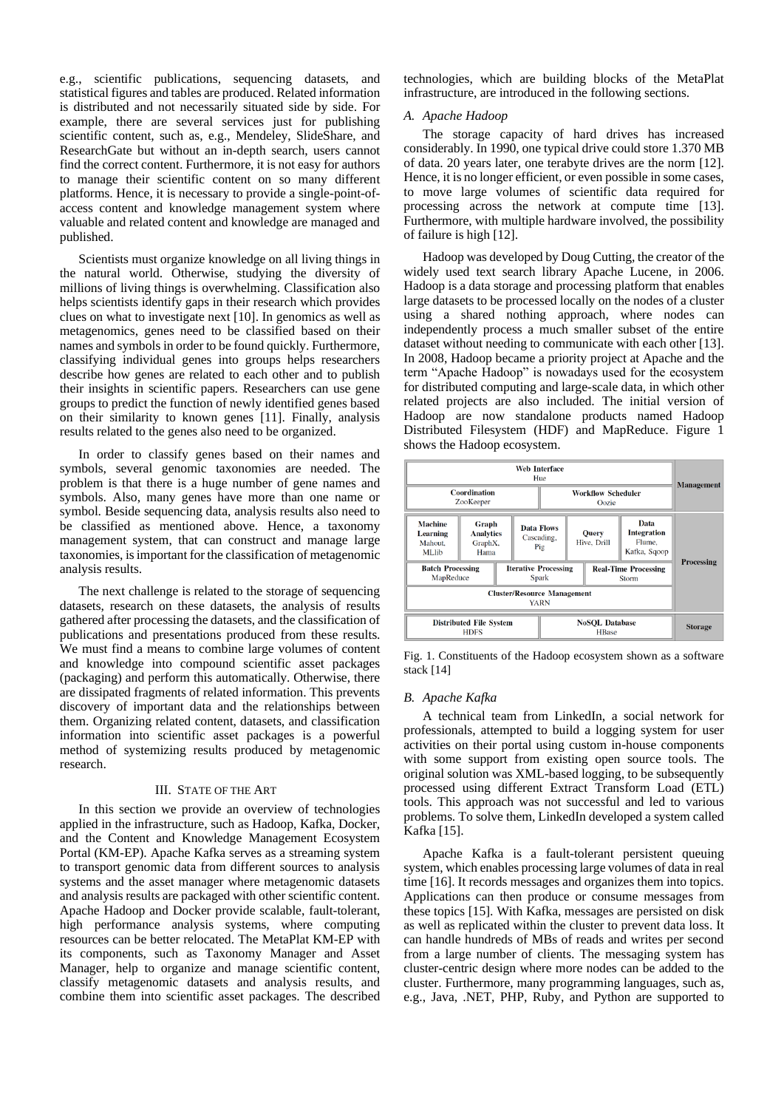e.g., scientific publications, sequencing datasets, and statistical figures and tables are produced. Related information is distributed and not necessarily situated side by side. For example, there are several services just for publishing scientific content, such as, e.g., Mendeley, SlideShare, and ResearchGate but without an in-depth search, users cannot find the correct content. Furthermore, it is not easy for authors to manage their scientific content on so many different platforms. Hence, it is necessary to provide a single-point-ofaccess content and knowledge management system where valuable and related content and knowledge are managed and published.

Scientists must organize knowledge on all living things in the natural world. Otherwise, studying the diversity of millions of living things is overwhelming. Classification also helps scientists identify gaps in their research which provides clues on what to investigate next [10]. In genomics as well as metagenomics, genes need to be classified based on their names and symbols in order to be found quickly. Furthermore, classifying individual genes into groups helps researchers describe how genes are related to each other and to publish their insights in scientific papers. Researchers can use gene groups to predict the function of newly identified genes based on their similarity to known genes [11]. Finally, analysis results related to the genes also need to be organized.

In order to classify genes based on their names and symbols, several genomic taxonomies are needed. The problem is that there is a huge number of gene names and symbols. Also, many genes have more than one name or symbol. Beside sequencing data, analysis results also need to be classified as mentioned above. Hence, a taxonomy management system, that can construct and manage large taxonomies, is important for the classification of metagenomic analysis results.

The next challenge is related to the storage of sequencing datasets, research on these datasets, the analysis of results gathered after processing the datasets, and the classification of publications and presentations produced from these results. We must find a means to combine large volumes of content and knowledge into compound scientific asset packages (packaging) and perform this automatically. Otherwise, there are dissipated fragments of related information. This prevents discovery of important data and the relationships between them. Organizing related content, datasets, and classification information into scientific asset packages is a powerful method of systemizing results produced by metagenomic research.

# III. STATE OF THE ART

In this section we provide an overview of technologies applied in the infrastructure, such as Hadoop, Kafka, Docker, and the Content and Knowledge Management Ecosystem Portal (KM-EP). Apache Kafka serves as a streaming system to transport genomic data from different sources to analysis systems and the asset manager where metagenomic datasets and analysis results are packaged with other scientific content. Apache Hadoop and Docker provide scalable, fault-tolerant, high performance analysis systems, where computing resources can be better relocated. The MetaPlat KM-EP with its components, such as Taxonomy Manager and Asset Manager, help to organize and manage scientific content, classify metagenomic datasets and analysis results, and combine them into scientific asset packages. The described technologies, which are building blocks of the MetaPlat infrastructure, are introduced in the following sections.

#### *A. Apache Hadoop*

The storage capacity of hard drives has increased considerably. In 1990, one typical drive could store 1.370 MB of data. 20 years later, one terabyte drives are the norm [12]. Hence, it is no longer efficient, or even possible in some cases, to move large volumes of scientific data required for processing across the network at compute time [13]. Furthermore, with multiple hardware involved, the possibility of failure is high [12].

Hadoop was developed by Doug Cutting, the creator of the widely used text search library Apache Lucene, in 2006. Hadoop is a data storage and processing platform that enables large datasets to be processed locally on the nodes of a cluster using a shared nothing approach, where nodes can independently process a much smaller subset of the entire dataset without needing to communicate with each other [13]. In 2008, Hadoop became a priority project at Apache and the term "Apache Hadoop" is nowadays used for the ecosystem for distributed computing and large-scale data, in which other related projects are also included. The initial version of Hadoop are now standalone products named Hadoop Distributed Filesystem (HDF) and MapReduce. Figure 1 shows the Hadoop ecosystem.

|                                                       |                                               |                                    | <b>Web Interface</b><br>Hue            |                                       |                                                      | <b>Management</b> |  |  |  |
|-------------------------------------------------------|-----------------------------------------------|------------------------------------|----------------------------------------|---------------------------------------|------------------------------------------------------|-------------------|--|--|--|
|                                                       | Coordination<br>ZooKeeper                     |                                    |                                        | <b>Workflow Scheduler</b><br>Oozie    |                                                      |                   |  |  |  |
| <b>Machine</b><br>Learning<br>Mahout.<br><b>MLlib</b> | Graph<br><b>Analytics</b><br>GraphX,<br>Hama  |                                    | <b>Data Flows</b><br>Cascading,<br>Pig | <b>Ouery</b><br>Hive, Drill           | Data<br><b>Integration</b><br>Flume,<br>Kafka, Sqoop |                   |  |  |  |
| <b>Batch Processing</b><br>MapReduce                  |                                               | <b>Iterative Processing</b>        | <b>Spark</b>                           |                                       | <b>Real-Time Processing</b><br>Storm                 | <b>Processing</b> |  |  |  |
|                                                       |                                               | <b>Cluster/Resource Management</b> | <b>YARN</b>                            |                                       |                                                      |                   |  |  |  |
|                                                       | <b>Distributed File System</b><br><b>HDFS</b> |                                    |                                        | <b>NoSOL</b> Database<br><b>HBase</b> |                                                      | <b>Storage</b>    |  |  |  |

Fig. 1. Constituents of the Hadoop ecosystem shown as a software stack [14]

## *B. Apache Kafka*

A technical team from LinkedIn, a social network for professionals, attempted to build a logging system for user activities on their portal using custom in-house components with some support from existing open source tools. The original solution was XML-based logging, to be subsequently processed using different Extract Transform Load (ETL) tools. This approach was not successful and led to various problems. To solve them, LinkedIn developed a system called Kafka [15].

Apache Kafka is a fault-tolerant persistent queuing system, which enables processing large volumes of data in real time [16]. It records messages and organizes them into topics. Applications can then produce or consume messages from these topics [15]. With Kafka, messages are persisted on disk as well as replicated within the cluster to prevent data loss. It can handle hundreds of MBs of reads and writes per second from a large number of clients. The messaging system has cluster-centric design where more nodes can be added to the cluster. Furthermore, many programming languages, such as, e.g., Java, .NET, PHP, Ruby, and Python are supported to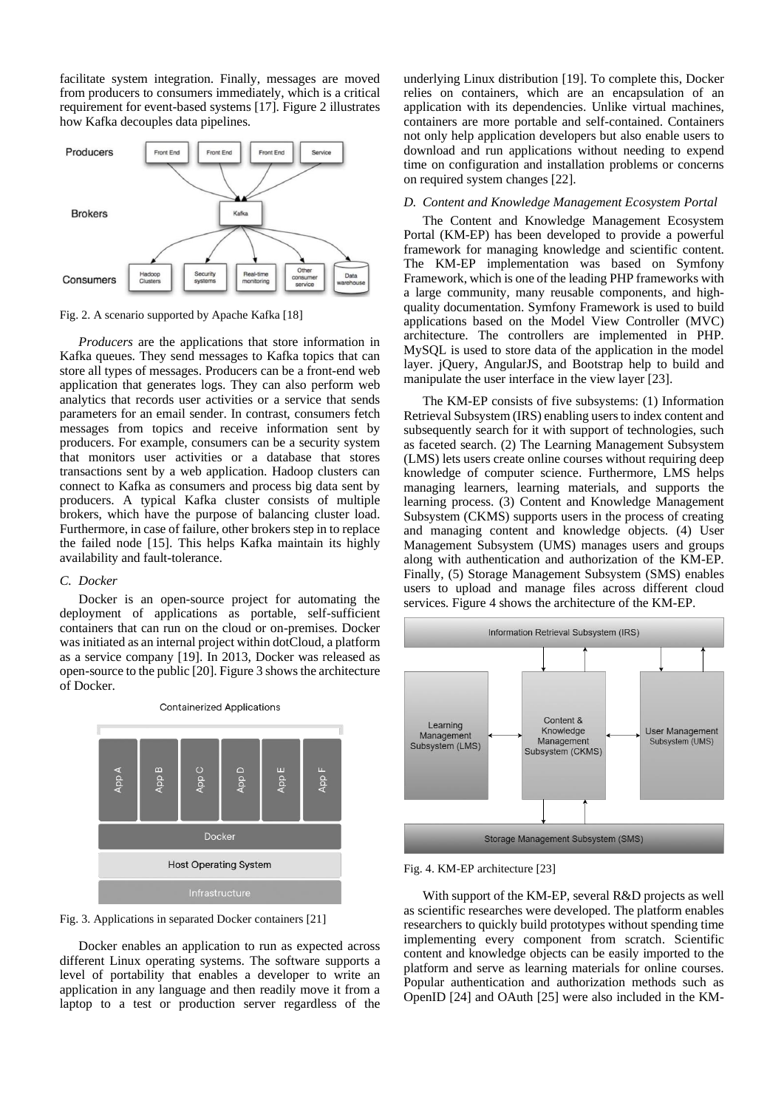facilitate system integration. Finally, messages are moved from producers to consumers immediately, which is a critical requirement for event-based systems [17]. Figure 2 illustrates how Kafka decouples data pipelines.



Fig. 2. A scenario supported by Apache Kafka [18]

*Producers* are the applications that store information in Kafka queues. They send messages to Kafka topics that can store all types of messages. Producers can be a front-end web application that generates logs. They can also perform web analytics that records user activities or a service that sends parameters for an email sender. In contrast, consumers fetch messages from topics and receive information sent by producers. For example, consumers can be a security system that monitors user activities or a database that stores transactions sent by a web application. Hadoop clusters can connect to Kafka as consumers and process big data sent by producers. A typical Kafka cluster consists of multiple brokers, which have the purpose of balancing cluster load. Furthermore, in case of failure, other brokers step in to replace the failed node [15]. This helps Kafka maintain its highly availability and fault-tolerance.

#### *C. Docker*

Docker is an open-source project for automating the deployment of applications as portable, self-sufficient containers that can run on the cloud or on-premises. Docker was initiated as an internal project within dotCloud, a platform as a service company [19]. In 2013, Docker was released as open-source to the public [20]. Figure 3 shows the architecture of Docker.



Fig. 3. Applications in separated Docker containers [21]

Docker enables an application to run as expected across different Linux operating systems. The software supports a level of portability that enables a developer to write an application in any language and then readily move it from a laptop to a test or production server regardless of the underlying Linux distribution [19]. To complete this, Docker relies on containers, which are an encapsulation of an application with its dependencies. Unlike virtual machines, containers are more portable and self-contained. Containers not only help application developers but also enable users to download and run applications without needing to expend time on configuration and installation problems or concerns on required system changes [22].

#### *D. Content and Knowledge Management Ecosystem Portal*

The Content and Knowledge Management Ecosystem Portal (KM-EP) has been developed to provide a powerful framework for managing knowledge and scientific content. The KM-EP implementation was based on Symfony Framework, which is one of the leading PHP frameworks with a large community, many reusable components, and highquality documentation. Symfony Framework is used to build applications based on the Model View Controller (MVC) architecture. The controllers are implemented in PHP. MySQL is used to store data of the application in the model layer. jQuery, AngularJS, and Bootstrap help to build and manipulate the user interface in the view layer [23].

The KM-EP consists of five subsystems: (1) Information Retrieval Subsystem (IRS) enabling usersto index content and subsequently search for it with support of technologies, such as faceted search. (2) The Learning Management Subsystem (LMS) lets users create online courses without requiring deep knowledge of computer science. Furthermore, LMS helps managing learners, learning materials, and supports the learning process. (3) Content and Knowledge Management Subsystem (CKMS) supports users in the process of creating and managing content and knowledge objects. (4) User Management Subsystem (UMS) manages users and groups along with authentication and authorization of the KM-EP. Finally, (5) Storage Management Subsystem (SMS) enables users to upload and manage files across different cloud services. Figure 4 shows the architecture of the KM-EP.



Fig. 4. KM-EP architecture [23]

With support of the KM-EP, several R&D projects as well as scientific researches were developed. The platform enables researchers to quickly build prototypes without spending time implementing every component from scratch. Scientific content and knowledge objects can be easily imported to the platform and serve as learning materials for online courses. Popular authentication and authorization methods such as OpenID [24] and OAuth [25] were also included in the KM-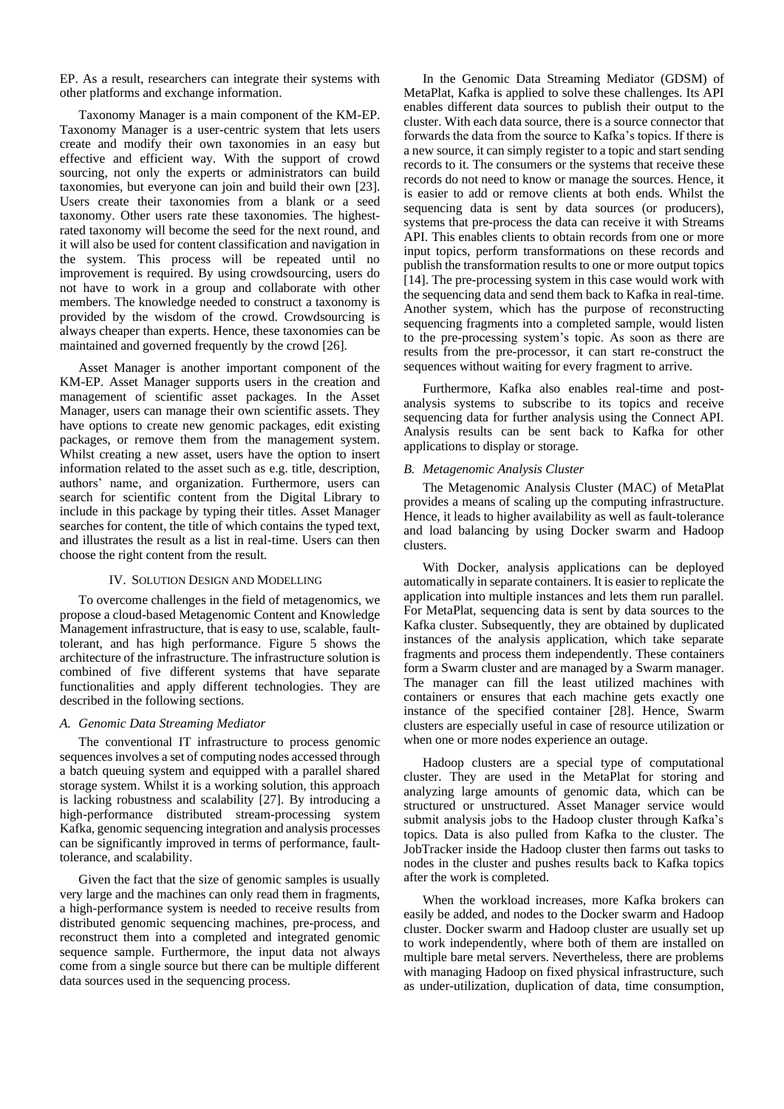EP. As a result, researchers can integrate their systems with other platforms and exchange information.

Taxonomy Manager is a main component of the KM-EP. Taxonomy Manager is a user-centric system that lets users create and modify their own taxonomies in an easy but effective and efficient way. With the support of crowd sourcing, not only the experts or administrators can build taxonomies, but everyone can join and build their own [23]. Users create their taxonomies from a blank or a seed taxonomy. Other users rate these taxonomies. The highestrated taxonomy will become the seed for the next round, and it will also be used for content classification and navigation in the system. This process will be repeated until no improvement is required. By using crowdsourcing, users do not have to work in a group and collaborate with other members. The knowledge needed to construct a taxonomy is provided by the wisdom of the crowd. Crowdsourcing is always cheaper than experts. Hence, these taxonomies can be maintained and governed frequently by the crowd [26].

Asset Manager is another important component of the KM-EP. Asset Manager supports users in the creation and management of scientific asset packages. In the Asset Manager, users can manage their own scientific assets. They have options to create new genomic packages, edit existing packages, or remove them from the management system. Whilst creating a new asset, users have the option to insert information related to the asset such as e.g. title, description, authors' name, and organization. Furthermore, users can search for scientific content from the Digital Library to include in this package by typing their titles. Asset Manager searches for content, the title of which contains the typed text, and illustrates the result as a list in real-time. Users can then choose the right content from the result.

## IV. SOLUTION DESIGN AND MODELLING

To overcome challenges in the field of metagenomics, we propose a cloud-based Metagenomic Content and Knowledge Management infrastructure, that is easy to use, scalable, faulttolerant, and has high performance. Figure 5 shows the architecture of the infrastructure. The infrastructure solution is combined of five different systems that have separate functionalities and apply different technologies. They are described in the following sections.

#### *A. Genomic Data Streaming Mediator*

The conventional IT infrastructure to process genomic sequences involves a set of computing nodes accessed through a batch queuing system and equipped with a parallel shared storage system. Whilst it is a working solution, this approach is lacking robustness and scalability [27]. By introducing a high-performance distributed stream-processing system Kafka, genomic sequencing integration and analysis processes can be significantly improved in terms of performance, faulttolerance, and scalability.

Given the fact that the size of genomic samples is usually very large and the machines can only read them in fragments, a high-performance system is needed to receive results from distributed genomic sequencing machines, pre-process, and reconstruct them into a completed and integrated genomic sequence sample. Furthermore, the input data not always come from a single source but there can be multiple different data sources used in the sequencing process.

In the Genomic Data Streaming Mediator (GDSM) of MetaPlat, Kafka is applied to solve these challenges. Its API enables different data sources to publish their output to the cluster. With each data source, there is a source connector that forwards the data from the source to Kafka's topics. If there is a new source, it can simply register to a topic and start sending records to it. The consumers or the systems that receive these records do not need to know or manage the sources. Hence, it is easier to add or remove clients at both ends. Whilst the sequencing data is sent by data sources (or producers), systems that pre-process the data can receive it with Streams API. This enables clients to obtain records from one or more input topics, perform transformations on these records and publish the transformation results to one or more output topics [14]. The pre-processing system in this case would work with the sequencing data and send them back to Kafka in real-time. Another system, which has the purpose of reconstructing sequencing fragments into a completed sample, would listen to the pre-processing system's topic. As soon as there are results from the pre-processor, it can start re-construct the sequences without waiting for every fragment to arrive.

Furthermore, Kafka also enables real-time and postanalysis systems to subscribe to its topics and receive sequencing data for further analysis using the Connect API. Analysis results can be sent back to Kafka for other applications to display or storage.

## *B. Metagenomic Analysis Cluster*

The Metagenomic Analysis Cluster (MAC) of MetaPlat provides a means of scaling up the computing infrastructure. Hence, it leads to higher availability as well as fault-tolerance and load balancing by using Docker swarm and Hadoop clusters.

With Docker, analysis applications can be deployed automatically in separate containers. It is easier to replicate the application into multiple instances and lets them run parallel. For MetaPlat, sequencing data is sent by data sources to the Kafka cluster. Subsequently, they are obtained by duplicated instances of the analysis application, which take separate fragments and process them independently. These containers form a Swarm cluster and are managed by a Swarm manager. The manager can fill the least utilized machines with containers or ensures that each machine gets exactly one instance of the specified container [28]. Hence, Swarm clusters are especially useful in case of resource utilization or when one or more nodes experience an outage.

Hadoop clusters are a special type of computational cluster. They are used in the MetaPlat for storing and analyzing large amounts of genomic data, which can be structured or unstructured. Asset Manager service would submit analysis jobs to the Hadoop cluster through Kafka's topics. Data is also pulled from Kafka to the cluster. The JobTracker inside the Hadoop cluster then farms out tasks to nodes in the cluster and pushes results back to Kafka topics after the work is completed.

When the workload increases, more Kafka brokers can easily be added, and nodes to the Docker swarm and Hadoop cluster. Docker swarm and Hadoop cluster are usually set up to work independently, where both of them are installed on multiple bare metal servers. Nevertheless, there are problems with managing Hadoop on fixed physical infrastructure, such as under-utilization, duplication of data, time consumption,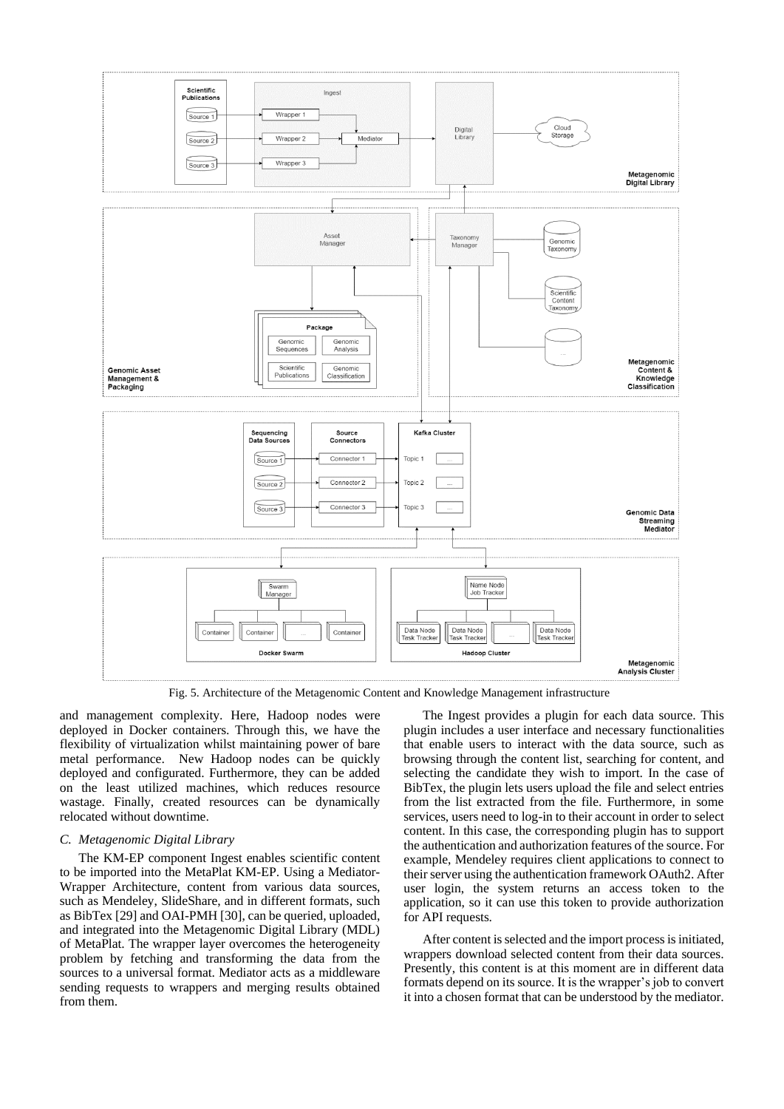

Fig. 5. Architecture of the Metagenomic Content and Knowledge Management infrastructure

and management complexity. Here, Hadoop nodes were deployed in Docker containers. Through this, we have the flexibility of virtualization whilst maintaining power of bare metal performance. New Hadoop nodes can be quickly deployed and configurated. Furthermore, they can be added on the least utilized machines, which reduces resource wastage. Finally, created resources can be dynamically relocated without downtime.

## *C. Metagenomic Digital Library*

The KM-EP component Ingest enables scientific content to be imported into the MetaPlat KM-EP. Using a Mediator-Wrapper Architecture, content from various data sources, such as Mendeley, SlideShare, and in different formats, such as BibTex [29] and OAI-PMH [30], can be queried, uploaded, and integrated into the Metagenomic Digital Library (MDL) of MetaPlat. The wrapper layer overcomes the heterogeneity problem by fetching and transforming the data from the sources to a universal format. Mediator acts as a middleware sending requests to wrappers and merging results obtained from them.

The Ingest provides a plugin for each data source. This plugin includes a user interface and necessary functionalities that enable users to interact with the data source, such as browsing through the content list, searching for content, and selecting the candidate they wish to import. In the case of BibTex, the plugin lets users upload the file and select entries from the list extracted from the file. Furthermore, in some services, users need to log-in to their account in order to select content. In this case, the corresponding plugin has to support the authentication and authorization features of the source. For example, Mendeley requires client applications to connect to their server using the authentication framework OAuth2. After user login, the system returns an access token to the application, so it can use this token to provide authorization for API requests.

After content is selected and the import process is initiated, wrappers download selected content from their data sources. Presently, this content is at this moment are in different data formats depend on its source. It is the wrapper's job to convert it into a chosen format that can be understood by the mediator.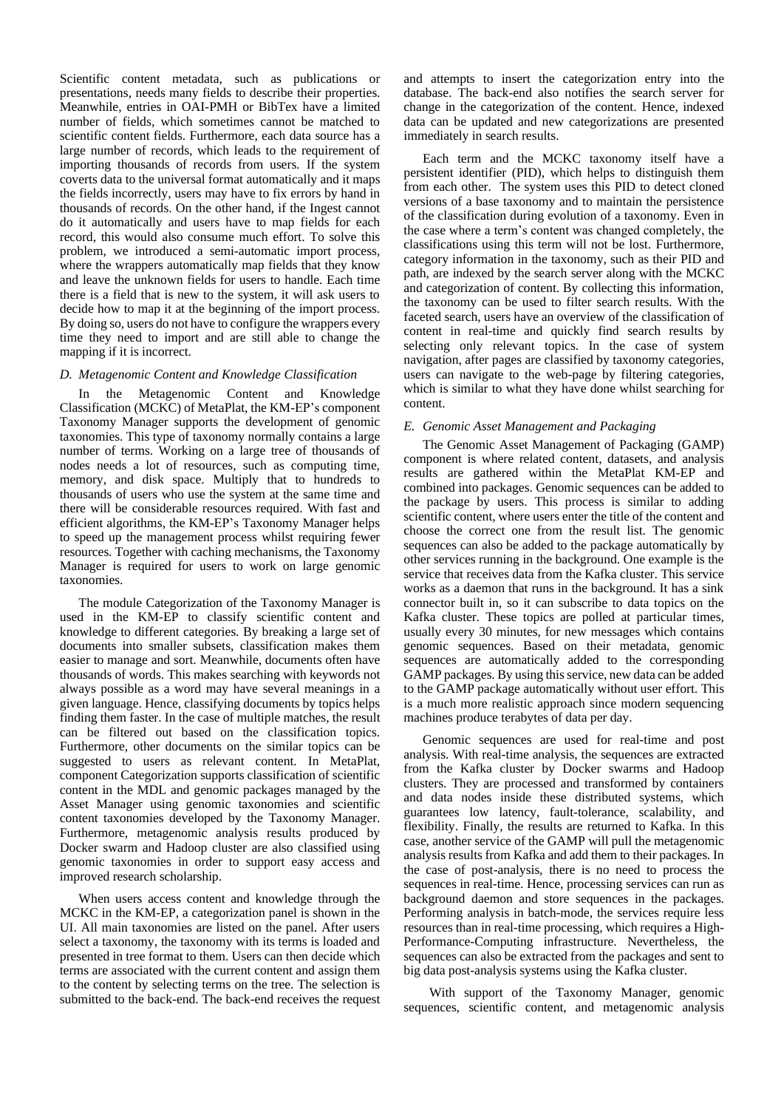Scientific content metadata, such as publications or presentations, needs many fields to describe their properties. Meanwhile, entries in OAI-PMH or BibTex have a limited number of fields, which sometimes cannot be matched to scientific content fields. Furthermore, each data source has a large number of records, which leads to the requirement of importing thousands of records from users. If the system coverts data to the universal format automatically and it maps the fields incorrectly, users may have to fix errors by hand in thousands of records. On the other hand, if the Ingest cannot do it automatically and users have to map fields for each record, this would also consume much effort. To solve this problem, we introduced a semi-automatic import process, where the wrappers automatically map fields that they know and leave the unknown fields for users to handle. Each time there is a field that is new to the system, it will ask users to decide how to map it at the beginning of the import process. By doing so, users do not have to configure the wrappers every time they need to import and are still able to change the mapping if it is incorrect.

## *D. Metagenomic Content and Knowledge Classification*

In the Metagenomic Content and Knowledge Classification (MCKC) of MetaPlat, the KM-EP's component Taxonomy Manager supports the development of genomic taxonomies. This type of taxonomy normally contains a large number of terms. Working on a large tree of thousands of nodes needs a lot of resources, such as computing time, memory, and disk space. Multiply that to hundreds to thousands of users who use the system at the same time and there will be considerable resources required. With fast and efficient algorithms, the KM-EP's Taxonomy Manager helps to speed up the management process whilst requiring fewer resources. Together with caching mechanisms, the Taxonomy Manager is required for users to work on large genomic taxonomies.

The module Categorization of the Taxonomy Manager is used in the KM-EP to classify scientific content and knowledge to different categories. By breaking a large set of documents into smaller subsets, classification makes them easier to manage and sort. Meanwhile, documents often have thousands of words. This makes searching with keywords not always possible as a word may have several meanings in a given language. Hence, classifying documents by topics helps finding them faster. In the case of multiple matches, the result can be filtered out based on the classification topics. Furthermore, other documents on the similar topics can be suggested to users as relevant content. In MetaPlat, component Categorization supports classification of scientific content in the MDL and genomic packages managed by the Asset Manager using genomic taxonomies and scientific content taxonomies developed by the Taxonomy Manager. Furthermore, metagenomic analysis results produced by Docker swarm and Hadoop cluster are also classified using genomic taxonomies in order to support easy access and improved research scholarship.

When users access content and knowledge through the MCKC in the KM-EP, a categorization panel is shown in the UI. All main taxonomies are listed on the panel. After users select a taxonomy, the taxonomy with its terms is loaded and presented in tree format to them. Users can then decide which terms are associated with the current content and assign them to the content by selecting terms on the tree. The selection is submitted to the back-end. The back-end receives the request and attempts to insert the categorization entry into the database. The back-end also notifies the search server for change in the categorization of the content. Hence, indexed data can be updated and new categorizations are presented immediately in search results.

Each term and the MCKC taxonomy itself have a persistent identifier (PID), which helps to distinguish them from each other. The system uses this PID to detect cloned versions of a base taxonomy and to maintain the persistence of the classification during evolution of a taxonomy. Even in the case where a term's content was changed completely, the classifications using this term will not be lost. Furthermore, category information in the taxonomy, such as their PID and path, are indexed by the search server along with the MCKC and categorization of content. By collecting this information, the taxonomy can be used to filter search results. With the faceted search, users have an overview of the classification of content in real-time and quickly find search results by selecting only relevant topics. In the case of system navigation, after pages are classified by taxonomy categories, users can navigate to the web-page by filtering categories, which is similar to what they have done whilst searching for content.

## *E. Genomic Asset Management and Packaging*

The Genomic Asset Management of Packaging (GAMP) component is where related content, datasets, and analysis results are gathered within the MetaPlat KM-EP and combined into packages. Genomic sequences can be added to the package by users. This process is similar to adding scientific content, where users enter the title of the content and choose the correct one from the result list. The genomic sequences can also be added to the package automatically by other services running in the background. One example is the service that receives data from the Kafka cluster. This service works as a daemon that runs in the background. It has a sink connector built in, so it can subscribe to data topics on the Kafka cluster. These topics are polled at particular times, usually every 30 minutes, for new messages which contains genomic sequences. Based on their metadata, genomic sequences are automatically added to the corresponding GAMP packages. By using this service, new data can be added to the GAMP package automatically without user effort. This is a much more realistic approach since modern sequencing machines produce terabytes of data per day.

Genomic sequences are used for real-time and post analysis. With real-time analysis, the sequences are extracted from the Kafka cluster by Docker swarms and Hadoop clusters. They are processed and transformed by containers and data nodes inside these distributed systems, which guarantees low latency, fault-tolerance, scalability, and flexibility. Finally, the results are returned to Kafka. In this case, another service of the GAMP will pull the metagenomic analysis results from Kafka and add them to their packages. In the case of post-analysis, there is no need to process the sequences in real-time. Hence, processing services can run as background daemon and store sequences in the packages. Performing analysis in batch-mode, the services require less resources than in real-time processing, which requires a High-Performance-Computing infrastructure. Nevertheless, the sequences can also be extracted from the packages and sent to big data post-analysis systems using the Kafka cluster.

With support of the Taxonomy Manager, genomic sequences, scientific content, and metagenomic analysis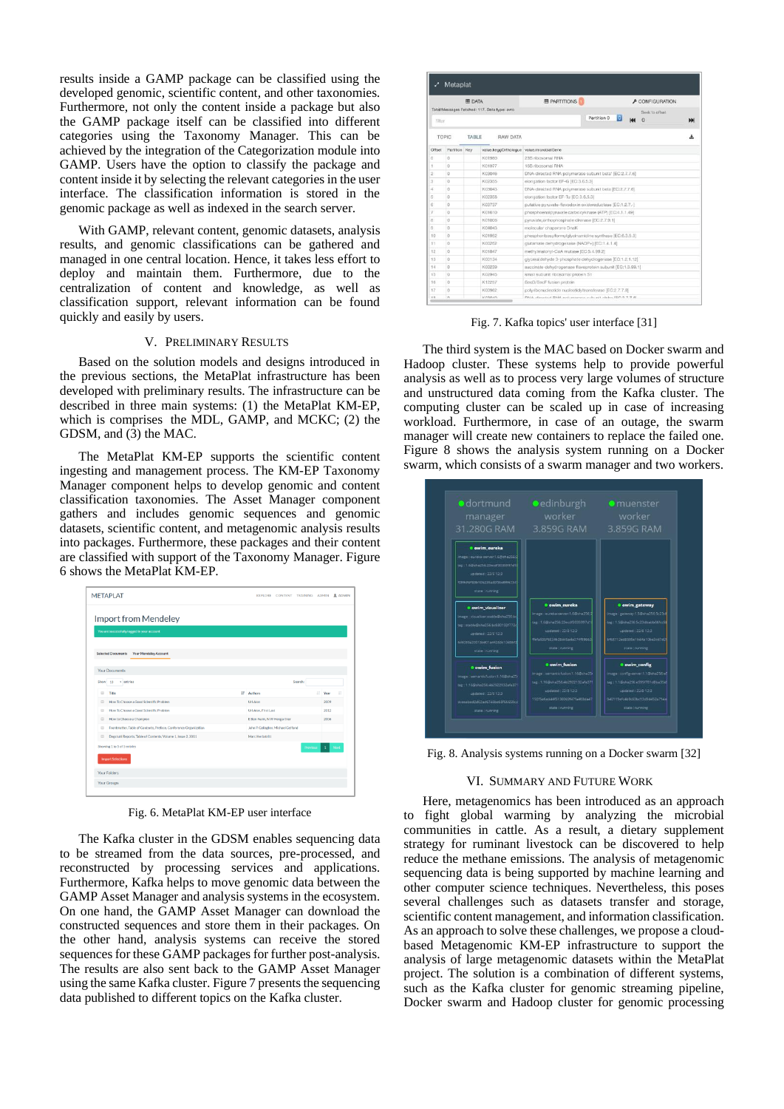results inside a GAMP package can be classified using the developed genomic, scientific content, and other taxonomies. Furthermore, not only the content inside a package but also the GAMP package itself can be classified into different categories using the Taxonomy Manager. This can be achieved by the integration of the Categorization module into GAMP. Users have the option to classify the package and content inside it by selecting the relevant categories in the user interface. The classification information is stored in the genomic package as well as indexed in the search server.

With GAMP, relevant content, genomic datasets, analysis results, and genomic classifications can be gathered and managed in one central location. Hence, it takes less effort to deploy and maintain them. Furthermore, due to the centralization of content and knowledge, as well as classification support, relevant information can be found quickly and easily by users.

## V. PRELIMINARY RESULTS

Based on the solution models and designs introduced in the previous sections, the MetaPlat infrastructure has been developed with preliminary results. The infrastructure can be described in three main systems: (1) the MetaPlat KM-EP, which is comprises the MDL, GAMP, and MCKC; (2) the GDSM, and (3) the MAC.

The MetaPlat KM-EP supports the scientific content ingesting and management process. The KM-EP Taxonomy Manager component helps to develop genomic and content classification taxonomies. The Asset Manager component gathers and includes genomic sequences and genomic datasets, scientific content, and metagenomic analysis results into packages. Furthermore, these packages and their content are classified with support of the Taxonomy Manager. Figure 6 shows the MetaPlat KM-EP.

|         | Import from Mendeley                                             |    |                                    |                   |              |      |
|---------|------------------------------------------------------------------|----|------------------------------------|-------------------|--------------|------|
|         | You are successfully logged in your account                      |    |                                    |                   |              |      |
|         |                                                                  |    |                                    |                   |              |      |
|         | <b>Selected Documents</b><br>Your Mendeley Account               |    |                                    |                   |              |      |
|         |                                                                  |    |                                    |                   |              |      |
|         | <b>Your Documents</b>                                            |    |                                    |                   |              |      |
| Show 10 | · entries                                                        |    | Search:                            |                   |              |      |
| 8       | Title                                                            | ΙF | Authors                            |                   | 11 Year      | It   |
| $\Box$  | How To Choose a Good Scientific Problem                          |    | Url Alon                           |                   | 2009         |      |
| $\Box$  | How To Choose a Good Scientific Problem                          |    | Url Alon, First Last               |                   | 2012         |      |
| 0       | How to Choose a Champion                                         |    | E Ben-Naim, NW Hengartner          |                   | 2006         |      |
| B       | Frontmatter, Table of Contents, Preface, Conference Organization |    | John P. Gallagher, Michael Gelfond |                   |              |      |
| $\Box$  | Dagstuhl Reports, Table of Contents, Volume 1, Issue 2, 2011     |    | Marc Herbstritt                    |                   |              |      |
|         | Showing 1 to 5 of 5 entries                                      |    |                                    | <b>Presidents</b> | $\mathbf{1}$ | Next |
|         |                                                                  |    |                                    |                   |              |      |

Fig. 6. MetaPlat KM-EP user interface

The Kafka cluster in the GDSM enables sequencing data to be streamed from the data sources, pre-processed, and reconstructed by processing services and applications. Furthermore, Kafka helps to move genomic data between the GAMP Asset Manager and analysis systems in the ecosystem. On one hand, the GAMP Asset Manager can download the constructed sequences and store them in their packages. On the other hand, analysis systems can receive the stored sequences for these GAMP packages for further post-analysis. The results are also sent back to the GAMP Asset Manager using the same Kafka cluster. Figure 7 presents the sequencing data published to different topics on the Kafka cluster.

|                |                   | <b>甲DATA</b> |                                              | <b>E PARTITIONS</b><br><b>E CONFIGURATION</b>              |    |
|----------------|-------------------|--------------|----------------------------------------------|------------------------------------------------------------|----|
| filter         |                   |              | Total Messages Fetched: 117. Data type: avro | Seek to offeet<br>Partition 0<br>IC.<br>n                  | HH |
| <b>TOPIC</b>   |                   | <b>TABLE</b> | <b>RAW DATA</b>                              |                                                            |    |
| Offset         | Partition Key     |              | value.keggOrthologue                         | value.microbialGene                                        |    |
| $\Omega$       | 0                 |              | KO1980                                       | 23S ribosomal RNA                                          |    |
| $\mathbf{I}$   | $\Omega$          |              | K01977                                       | 16S ribosomal RNA                                          |    |
| $\overline{2}$ | $\alpha$          |              | K03046                                       | DNA-directed RNA polymerase subunit beta' [EC:2.7.7.6]     |    |
| 3              | $\Omega$          |              | K02355                                       | elongation factor EF-G [EC:3.6.5.3]                        |    |
| 4              | $\Omega$          |              | K03043                                       | DNA-directed RNA polymerase subunit beta (EC:2.7.7.6)      |    |
| 5              | $\ddot{\text{o}}$ |              | K02358                                       | elongation factor EF-Tu IEC:3.6.5.31                       |    |
| 6              | $\circ$           |              | K03737                                       | putative pyruvate-flavodoxin oxidoreductase (EC:1.2.7.-1)  |    |
| $\overline{t}$ | $\Omega$          |              | K01610                                       | phosphoenoloyruvate carboxykinase (ATP) (EC:4.1.1.49)      |    |
| 8              | $\Omega$          |              | K01006                                       | pyruvate.orthophosphate dikinase (EC:2.7.9.1)              |    |
| $\Omega$       | $\overline{0}$    |              | K04043                                       | molecular chaperone DnaK                                   |    |
| 10             | $\Omega$          |              | K01952                                       | phosphoribosylformvlglycinamidine synthase (EC:6.3.5.3)    |    |
| 11             | $\alpha$          |              | K00262                                       | glutamate dehydrogenase (NADP+) (EC:1.4.1.4)               |    |
| 12             | O                 |              | K01847                                       | methylmalonyl-CoA mutase IEC:5.4.99.21                     |    |
| 13             | $\alpha$          |              | K00134                                       | glyceraldehyde 3-phosphate dehydrogenase (EC:1.2.1.12)     |    |
| 14             | ö                 |              | K00239                                       | succinate dehydrogenase flavoprotein subunit (EC:1,3,99,1) |    |
| 15             | $\alpha$          |              | K02945                                       | small subunit ribosomal protein S1                         |    |
| 16             | $\Omega$          |              | K12257                                       | SecD/SecF fusion protein                                   |    |
| 17             | $\Omega$          |              | K00962                                       | polyribonucleotide nucleotidyltransferase [EC:2.7.7.8]     |    |

Fig. 7. Kafka topics' user interface [31]

The third system is the MAC based on Docker swarm and Hadoop cluster. These systems help to provide powerful analysis as well as to process very large volumes of structure and unstructured data coming from the Kafka cluster. The computing cluster can be scaled up in case of increasing workload. Furthermore, in case of an outage, the swarm manager will create new containers to replace the failed one. Figure 8 shows the analysis system running on a Docker swarm, which consists of a swarm manager and two workers.

| $\bullet$ dortmund<br>manager       | edinburgh<br>worker                | <b>O</b> muenster<br>worker        |
|-------------------------------------|------------------------------------|------------------------------------|
| 31.280G RAM                         | 3.859G RAM                         | 3.859G RAM                         |
| · owim cureka                       |                                    |                                    |
| image : eureka-server: 1.6@sha256;2 |                                    |                                    |
| tag: 1.6@sha256.23ecdf3035997d1     |                                    |                                    |
| updated: 22/8 12:3                  |                                    |                                    |
| f099dfdf83b10b235aB0f3bd996734      |                                    |                                    |
| state : running                     |                                    |                                    |
| · owim visualizer                   | · owim eureka                      | <b>a</b> owim_gateway              |
| mage : visualizer stable Fona2S6.od | intage: eureka-server:1.6@sha256;  | Image : gateway:1.5@sha256:5c23d   |
| tag: stable@sha256.bc680132f772c    | tag: 1.68sha256:23ecdf3035997d1    | tag: 1.5@sha256:5c23dbabb66fcc6    |
| undated: 22/8 12:3                  | updated: 22/8 12:3                 | updated: 22/8 12:3                 |
| 6c6030a20018cd01a44253c10dSbf2      | Wefa935f6824b28d45eda274f99662     | bf68712ed8595e1bd4a10be3cd7d2      |
| state : running                     | state: running                     | state crunning                     |
| <b>8</b> owim fusion                | <b>a owim fusion</b>               | · owim_config                      |
| image: camancicfusion:1.16@sha25/   | intage: semanticlusion:1.16@sha25/ | image: config-server:1.1@sha256:e5 |
| tag: 1.16@sha256.4b2922132afa371    | tag: 1.16@sha256.4b2922132afa371   | teg: 1.1@sha256:e595f781d8ba35d    |
| undated: 22/8 12:3                  | updated: 22/2 12:3                 | updated: 22/8 12:3                 |
| dc##ab#d2d62ad6748b#6Bf66650cd      | 192f5s6edd4f5130069637fa403da47    | 940119e5cab9c63bc13d9d452a714e     |
| state: running                      | state : running                    | state : running                    |

Fig. 8. Analysis systems running on a Docker swarm [32]

### VI. SUMMARY AND FUTURE WORK

Here, metagenomics has been introduced as an approach to fight global warming by analyzing the microbial communities in cattle. As a result, a dietary supplement strategy for ruminant livestock can be discovered to help reduce the methane emissions. The analysis of metagenomic sequencing data is being supported by machine learning and other computer science techniques. Nevertheless, this poses several challenges such as datasets transfer and storage, scientific content management, and information classification. As an approach to solve these challenges, we propose a cloudbased Metagenomic KM-EP infrastructure to support the analysis of large metagenomic datasets within the MetaPlat project. The solution is a combination of different systems, such as the Kafka cluster for genomic streaming pipeline, Docker swarm and Hadoop cluster for genomic processing